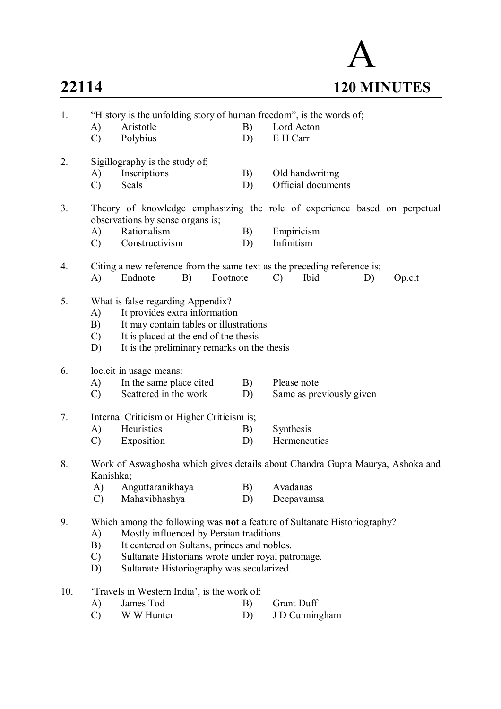## A **22114 120 MINUTES**

| 1.  | "History is the unfolding story of human freedom", is the words of;                                                                                                                                                                     |                                                                                                                                                |                 |                          |  |  |  |  |  |  |
|-----|-----------------------------------------------------------------------------------------------------------------------------------------------------------------------------------------------------------------------------------------|------------------------------------------------------------------------------------------------------------------------------------------------|-----------------|--------------------------|--|--|--|--|--|--|
|     | A)                                                                                                                                                                                                                                      | Aristotle                                                                                                                                      | B)              | Lord Acton               |  |  |  |  |  |  |
|     | $\mathcal{C}$                                                                                                                                                                                                                           | Polybius                                                                                                                                       | D)              | E H Carr                 |  |  |  |  |  |  |
| 2.  |                                                                                                                                                                                                                                         | Sigillography is the study of;                                                                                                                 |                 |                          |  |  |  |  |  |  |
|     | A)                                                                                                                                                                                                                                      | Inscriptions                                                                                                                                   | B)              | Old handwriting          |  |  |  |  |  |  |
|     | $\mathcal{C}$                                                                                                                                                                                                                           | Seals                                                                                                                                          | D)              | Official documents       |  |  |  |  |  |  |
| 3.  | Theory of knowledge emphasizing the role of experience based on perpetual<br>observations by sense organs is;                                                                                                                           |                                                                                                                                                |                 |                          |  |  |  |  |  |  |
|     | A)                                                                                                                                                                                                                                      | Rationalism                                                                                                                                    | B)              | Empiricism               |  |  |  |  |  |  |
|     | $\mathcal{C}$                                                                                                                                                                                                                           | Constructivism                                                                                                                                 | D)              | Infinitism               |  |  |  |  |  |  |
| 4.  | A)                                                                                                                                                                                                                                      | Citing a new reference from the same text as the preceding reference is;<br>B)<br>Footnote<br>Endnote<br>$\mathcal{C}$<br>Ibid<br>D)<br>Op.cit |                 |                          |  |  |  |  |  |  |
| 5.  | What is false regarding Appendix?<br>It provides extra information<br>A)<br>B)<br>It may contain tables or illustrations<br>It is placed at the end of the thesis<br>$\mathcal{C}$<br>It is the preliminary remarks on the thesis<br>D) |                                                                                                                                                |                 |                          |  |  |  |  |  |  |
| 6.  |                                                                                                                                                                                                                                         | loc.cit in usage means:                                                                                                                        |                 |                          |  |  |  |  |  |  |
|     | A)                                                                                                                                                                                                                                      | In the same place cited                                                                                                                        | B)              | Please note              |  |  |  |  |  |  |
|     | $\mathcal{C}$                                                                                                                                                                                                                           | Scattered in the work                                                                                                                          | D)              | Same as previously given |  |  |  |  |  |  |
| 7.  | Internal Criticism or Higher Criticism is;                                                                                                                                                                                              |                                                                                                                                                |                 |                          |  |  |  |  |  |  |
|     | A)                                                                                                                                                                                                                                      | Heuristics                                                                                                                                     | B)<br>Synthesis |                          |  |  |  |  |  |  |
|     | $\mathcal{C}$                                                                                                                                                                                                                           | Exposition                                                                                                                                     | D)              | Hermeneutics             |  |  |  |  |  |  |
| 8.  | Work of Aswaghosha which gives details about Chandra Gupta Maurya, Ashoka and<br>Kanishka;                                                                                                                                              |                                                                                                                                                |                 |                          |  |  |  |  |  |  |
|     | A)                                                                                                                                                                                                                                      | Anguttaranikhaya                                                                                                                               |                 | B) Avadanas              |  |  |  |  |  |  |
|     | $\mathcal{C}$                                                                                                                                                                                                                           | Mahavibhashya                                                                                                                                  | D)              | Deepavamsa               |  |  |  |  |  |  |
| 9.  | Which among the following was <b>not</b> a feature of Sultanate Historiography?                                                                                                                                                         |                                                                                                                                                |                 |                          |  |  |  |  |  |  |
|     | A)                                                                                                                                                                                                                                      | Mostly influenced by Persian traditions.                                                                                                       |                 |                          |  |  |  |  |  |  |
|     | B)                                                                                                                                                                                                                                      | It centered on Sultans, princes and nobles.                                                                                                    |                 |                          |  |  |  |  |  |  |
|     |                                                                                                                                                                                                                                         | Sultanate Historians wrote under royal patronage.<br>$\mathcal{C}$                                                                             |                 |                          |  |  |  |  |  |  |
|     | D)                                                                                                                                                                                                                                      | Sultanate Historiography was secularized.                                                                                                      |                 |                          |  |  |  |  |  |  |
| 10. |                                                                                                                                                                                                                                         | 'Travels in Western India', is the work of:                                                                                                    |                 |                          |  |  |  |  |  |  |
|     | A)                                                                                                                                                                                                                                      | James Tod                                                                                                                                      | B)              | <b>Grant Duff</b>        |  |  |  |  |  |  |
|     | $\mathcal{C}$                                                                                                                                                                                                                           | W W Hunter                                                                                                                                     | D)              | J D Cunningham           |  |  |  |  |  |  |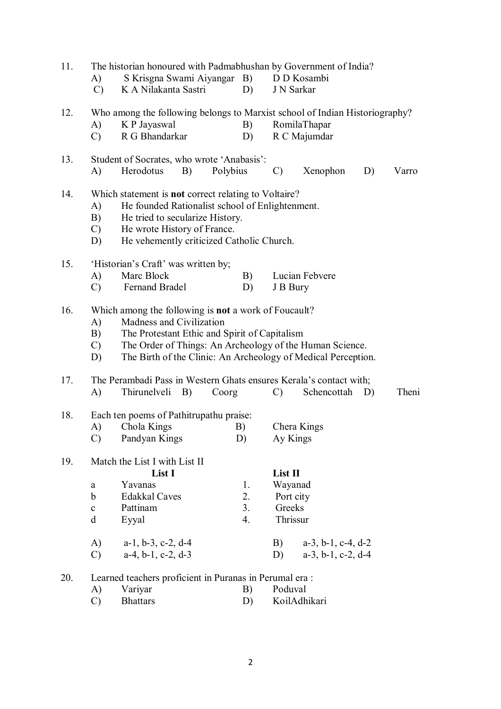| 11. | A)<br>$\mathcal{C}$                                                                                                                                                                                                                                                                                      | S Krisgna Swami Aiyangar B)<br>K A Nilakanta Sastri                                                                                                               | D)                               | The historian honoured with Padmabhushan by Government of India?<br>D D Kosambi<br>J N Sarkar |                                                                |    |       |  |  |
|-----|----------------------------------------------------------------------------------------------------------------------------------------------------------------------------------------------------------------------------------------------------------------------------------------------------------|-------------------------------------------------------------------------------------------------------------------------------------------------------------------|----------------------------------|-----------------------------------------------------------------------------------------------|----------------------------------------------------------------|----|-------|--|--|
| 12. | (A)<br>$\mathcal{C}$                                                                                                                                                                                                                                                                                     | Who among the following belongs to Marxist school of Indian Historiography?<br>K P Jayaswal<br>R G Bhandarkar                                                     | B)<br>D)                         |                                                                                               | RomilaThapar<br>R C Majumdar                                   |    |       |  |  |
| 13. | A)                                                                                                                                                                                                                                                                                                       | Student of Socrates, who wrote 'Anabasis':<br>Herodotus<br>B)                                                                                                     | Polybius                         | $\mathcal{C}$                                                                                 | Xenophon                                                       | D) | Varro |  |  |
| 14. | Which statement is <b>not</b> correct relating to Voltaire?<br>He founded Rationalist school of Enlightenment.<br>A)<br>B)<br>He tried to secularize History.<br>He wrote History of France.<br>$\mathcal{C}$ )<br>He vehemently criticized Catholic Church.<br>D)                                       |                                                                                                                                                                   |                                  |                                                                                               |                                                                |    |       |  |  |
| 15. | A)<br>$\mathcal{C}$                                                                                                                                                                                                                                                                                      | 'Historian's Craft' was written by;<br>Marc Block<br>Fernand Bradel                                                                                               | B)<br>D)                         | J B Bury                                                                                      | Lucian Febvere                                                 |    |       |  |  |
| 16. | Which among the following is <b>not</b> a work of Foucault?<br>Madness and Civilization<br>A)<br>The Protestant Ethic and Spirit of Capitalism<br>B)<br>The Order of Things: An Archeology of the Human Science.<br>$\mathcal{C}$<br>The Birth of the Clinic: An Archeology of Medical Perception.<br>D) |                                                                                                                                                                   |                                  |                                                                                               |                                                                |    |       |  |  |
| 17. | A)                                                                                                                                                                                                                                                                                                       | The Perambadi Pass in Western Ghats ensures Kerala's contact with;<br>Thirunelveli<br><b>B</b> )                                                                  | Coorg                            | $\mathcal{C}$                                                                                 | Schencottah                                                    | D) | Theni |  |  |
| 18. | A)<br>$\mathcal{C}$                                                                                                                                                                                                                                                                                      | Each ten poems of Pathitrupathu praise:<br>Chola Kings<br>Pandyan Kings                                                                                           | Chera Kings<br>Ay Kings          |                                                                                               |                                                                |    |       |  |  |
| 19. | a<br>$\mathbf b$<br>$\mathbf c$<br>d<br>A)<br>$\mathcal{C}$                                                                                                                                                                                                                                              | Match the List I with List II<br>List I<br>Yavanas<br><b>Edakkal Caves</b><br>Pattinam<br>Eyyal<br>$a-1$ , $b-3$ , $c-2$ , $d-4$<br>$a-4$ , $b-1$ , $c-2$ , $d-3$ | 1.<br>2.<br>3 <sub>1</sub><br>4. | List II<br>Wayanad<br>Port city<br>Greeks<br>Thrissur<br>B)<br>D)                             | $a-3$ , $b-1$ , $c-4$ , $d-2$<br>$a-3$ , $b-1$ , $c-2$ , $d-4$ |    |       |  |  |
| 20. | A)<br>$\mathcal{C}$                                                                                                                                                                                                                                                                                      | Learned teachers proficient in Puranas in Perumal era:<br>Variyar<br><b>Bhattars</b>                                                                              | B)<br>D)                         | Poduval                                                                                       | KoilAdhikari                                                   |    |       |  |  |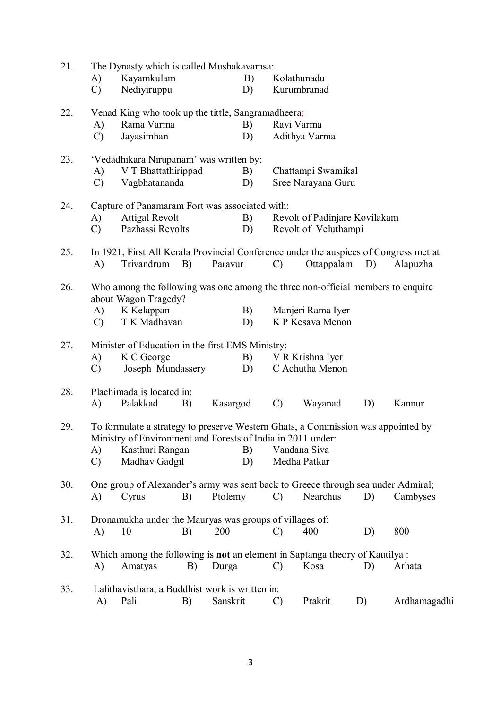| 21. | The Dynasty which is called Mushakavamsa: |                                                                                                                                                                                     |    |          |               |                               |    |                                                                                        |  |  |
|-----|-------------------------------------------|-------------------------------------------------------------------------------------------------------------------------------------------------------------------------------------|----|----------|---------------|-------------------------------|----|----------------------------------------------------------------------------------------|--|--|
|     | A)                                        | Kayamkulam                                                                                                                                                                          |    | B)       |               | Kolathunadu                   |    |                                                                                        |  |  |
|     | $\mathcal{C}$                             | Nediyiruppu                                                                                                                                                                         |    | D)       |               | Kurumbranad                   |    |                                                                                        |  |  |
| 22. |                                           | Venad King who took up the tittle, Sangramadheera;                                                                                                                                  |    |          |               |                               |    |                                                                                        |  |  |
|     | A)                                        | Rama Varma                                                                                                                                                                          |    | B)       |               | Ravi Varma                    |    |                                                                                        |  |  |
|     | $\mathcal{C}$                             | Jayasimhan                                                                                                                                                                          |    | D)       |               | Adithya Varma                 |    |                                                                                        |  |  |
| 23. |                                           | 'Vedadhikara Nirupanam' was written by:                                                                                                                                             |    |          |               |                               |    |                                                                                        |  |  |
|     | A)                                        | V T Bhattathirippad                                                                                                                                                                 |    | B)       |               | Chattampi Swamikal            |    |                                                                                        |  |  |
|     | $\mathcal{C}$                             | Vagbhatananda                                                                                                                                                                       |    | D)       |               | Sree Narayana Guru            |    |                                                                                        |  |  |
| 24. |                                           | Capture of Panamaram Fort was associated with:                                                                                                                                      |    |          |               |                               |    |                                                                                        |  |  |
|     | A)                                        | <b>Attigal Revolt</b>                                                                                                                                                               |    | B)       |               | Revolt of Padinjare Kovilakam |    |                                                                                        |  |  |
|     | $\mathcal{C}$                             | Pazhassi Revolts                                                                                                                                                                    |    | D)       |               | Revolt of Veluthampi          |    |                                                                                        |  |  |
| 25. |                                           |                                                                                                                                                                                     |    |          |               |                               |    | In 1921, First All Kerala Provincial Conference under the auspices of Congress met at: |  |  |
|     | A)                                        | Trivandrum                                                                                                                                                                          | B) | Paravur  | $\mathcal{C}$ | Ottappalam                    | D) | Alapuzha                                                                               |  |  |
| 26. |                                           | Who among the following was one among the three non-official members to enquire<br>about Wagon Tragedy?                                                                             |    |          |               |                               |    |                                                                                        |  |  |
|     | A)                                        | K Kelappan                                                                                                                                                                          |    | B)       |               | Manjeri Rama Iyer             |    |                                                                                        |  |  |
|     | $\mathcal{C}$                             | T K Madhavan                                                                                                                                                                        |    | D)       |               | K P Kesava Menon              |    |                                                                                        |  |  |
| 27. |                                           | Minister of Education in the first EMS Ministry:                                                                                                                                    |    |          |               |                               |    |                                                                                        |  |  |
|     | A)                                        | K C George                                                                                                                                                                          |    | B)       |               | V R Krishna Iyer              |    |                                                                                        |  |  |
|     | $\mathcal{C}$                             | Joseph Mundassery                                                                                                                                                                   |    | D)       |               | C Achutha Menon               |    |                                                                                        |  |  |
| 28. |                                           | Plachimada is located in:                                                                                                                                                           |    |          |               |                               |    |                                                                                        |  |  |
|     | A)                                        | Palakkad                                                                                                                                                                            | B) | Kasargod | $\mathcal{C}$ | Wayanad                       | D) | Kannur                                                                                 |  |  |
| 29. | A)<br>$\mathcal{C}$                       | To formulate a strategy to preserve Western Ghats, a Commission was appointed by<br>Ministry of Environment and Forests of India in 2011 under:<br>Kasthuri Rangan<br>Madhav Gadgil |    | B)<br>D) |               | Vandana Siva<br>Medha Patkar  |    |                                                                                        |  |  |
| 30. | A)                                        | One group of Alexander's army was sent back to Greece through sea under Admiral;<br>Cyrus                                                                                           | B) | Ptolemy  | $\mathcal{C}$ | Nearchus                      | D) | Cambyses                                                                               |  |  |
| 31. |                                           | Dronamukha under the Mauryas was groups of villages of:                                                                                                                             |    |          |               |                               |    |                                                                                        |  |  |
|     | A)                                        | 10                                                                                                                                                                                  | B) | 200      | C)            | 400                           | D) | 800                                                                                    |  |  |
| 32. | A)                                        | Which among the following is <b>not</b> an element in Saptanga theory of Kautilya :<br>Amatyas                                                                                      | B) | Durga    | $\mathcal{C}$ | Kosa                          | D) | Arhata                                                                                 |  |  |
| 33. |                                           | Lalithavisthara, a Buddhist work is written in:                                                                                                                                     |    |          |               |                               |    |                                                                                        |  |  |
|     | A)                                        | Pali                                                                                                                                                                                | B) | Sanskrit | C)            | Prakrit                       | D) | Ardhamagadhi                                                                           |  |  |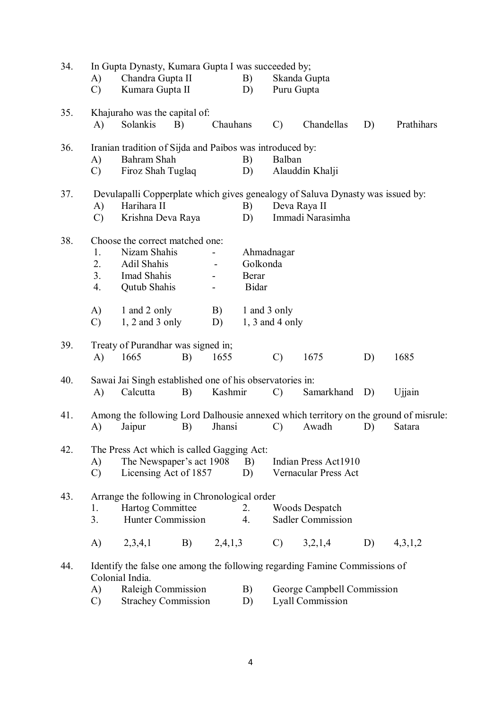| 34. | A)<br>$\mathcal{C}$                                                     | Chandra Gupta II<br>Kumara Gupta II                                                                                |    | In Gupta Dynasty, Kumara Gupta I was succeeded by;<br>B)<br>Skanda Gupta<br>Puru Gupta<br>D) |                                   |                                                       |                                                   |    |                                                                                                |  |
|-----|-------------------------------------------------------------------------|--------------------------------------------------------------------------------------------------------------------|----|----------------------------------------------------------------------------------------------|-----------------------------------|-------------------------------------------------------|---------------------------------------------------|----|------------------------------------------------------------------------------------------------|--|
| 35. | A)                                                                      | Khajuraho was the capital of:<br>Solankis                                                                          | B) | Chauhans                                                                                     |                                   | $\mathcal{C}$                                         | Chandellas                                        | D) | Prathihars                                                                                     |  |
| 36. | A)<br>C)                                                                | Iranian tradition of Sijda and Paibos was introduced by:<br>Bahram Shah<br>Firoz Shah Tuglaq                       |    |                                                                                              | B)<br>D)                          | Balban                                                | Alauddin Khalji                                   |    |                                                                                                |  |
| 37. | A)<br>$\mathcal{C}$                                                     | Devulapalli Copperplate which gives genealogy of Saluva Dynasty was issued by:<br>Harihara II<br>Krishna Deva Raya |    |                                                                                              | B)<br>D)                          |                                                       | Deva Raya II<br>Immadi Narasimha                  |    |                                                                                                |  |
| 38. | 1.<br>2.<br>3.<br>4.                                                    | Choose the correct matched one:<br>Nizam Shahis<br>Adil Shahis<br>Imad Shahis<br><b>Qutub Shahis</b>               |    |                                                                                              | Golkonda<br>Berar<br><b>Bidar</b> | Ahmadnagar                                            |                                                   |    |                                                                                                |  |
|     | A)<br>$\mathcal{C}$                                                     | 1 and 2 only<br>$1, 2$ and 3 only                                                                                  |    | B)<br>D)                                                                                     | 1 and 3 only                      | $1, 3$ and 4 only                                     |                                                   |    |                                                                                                |  |
| 39. | A)                                                                      | Treaty of Purandhar was signed in;<br>1665                                                                         | B) | 1655                                                                                         |                                   | $\mathcal{C}$                                         | 1675                                              | D) | 1685                                                                                           |  |
| 40. | A)                                                                      | Sawai Jai Singh established one of his observatories in:<br>Calcutta                                               | B) | Kashmir                                                                                      |                                   | $\mathcal{C}$<br>Samarkhand<br>D)<br>Ujjain           |                                                   |    |                                                                                                |  |
| 41. | A)                                                                      | Jaipur                                                                                                             | B) | Jhansi                                                                                       |                                   | $\mathcal{C}$                                         | Awadh                                             | D) | Among the following Lord Dalhousie annexed which territory on the ground of misrule:<br>Satara |  |
| 42. | A)<br>$\mathcal{C}$                                                     | The Press Act which is called Gagging Act:<br>The Newspaper's act 1908<br>B)<br>Licensing Act of 1857<br>D)        |    |                                                                                              |                                   |                                                       | Indian Press Act1910<br>Vernacular Press Act      |    |                                                                                                |  |
| 43. | 1.<br>3.                                                                | Arrange the following in Chronological order<br>Hartog Committee<br>Hunter Commission                              |    |                                                                                              | 2.<br>4.                          |                                                       | <b>Woods Despatch</b><br><b>Sadler Commission</b> |    |                                                                                                |  |
|     | A)                                                                      | 2,3,4,1                                                                                                            | B) |                                                                                              | 2,4,1,3                           | $\mathcal{C}$ )                                       | 3,2,1,4                                           | D) | 4,3,1,2                                                                                        |  |
| 44. |                                                                         | Identify the false one among the following regarding Famine Commissions of<br>Colonial India.                      |    |                                                                                              |                                   |                                                       |                                                   |    |                                                                                                |  |
|     | Raleigh Commission<br>A)<br><b>Strachey Commission</b><br>$\mathcal{C}$ |                                                                                                                    |    |                                                                                              | B)<br>D)                          | George Campbell Commission<br><b>Lyall Commission</b> |                                                   |    |                                                                                                |  |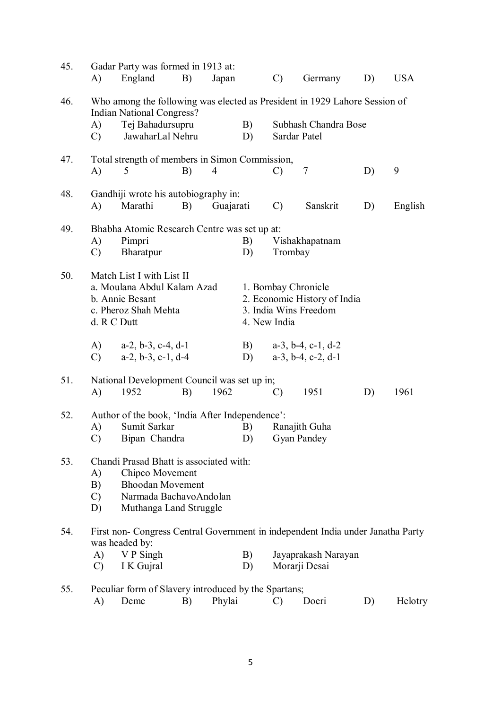| 45. | A)                                                                                                                 | Gadar Party was formed in 1913 at:<br>England                                                                                             | B)                                                       | Japan  |          | $\mathcal{C}$ | Germany                                                                      | D) | <b>USA</b> |
|-----|--------------------------------------------------------------------------------------------------------------------|-------------------------------------------------------------------------------------------------------------------------------------------|----------------------------------------------------------|--------|----------|---------------|------------------------------------------------------------------------------|----|------------|
| 46. |                                                                                                                    | Who among the following was elected as President in 1929 Lahore Session of<br><b>Indian National Congress?</b>                            |                                                          |        |          |               |                                                                              |    |            |
|     | A)<br>$\mathcal{C}$                                                                                                | Tej Bahadursupru<br>JawaharLal Nehru                                                                                                      |                                                          |        | B)<br>D) |               | Subhash Chandra Bose<br>Sardar Patel                                         |    |            |
| 47. | A)                                                                                                                 | Total strength of members in Simon Commission,<br>5                                                                                       | B)                                                       | 4      |          | $\mathcal{C}$ | 7                                                                            | D) | 9          |
| 48. | A)                                                                                                                 | Marathi                                                                                                                                   | Gandhiji wrote his autobiography in:<br>B)<br>Guajarati  |        |          |               | Sanskrit                                                                     | D) | English    |
| 49. | A)<br>$\mathcal{C}$                                                                                                | Pimpri<br>Bharatpur                                                                                                                       | Bhabha Atomic Research Centre was set up at:<br>B)<br>D) |        |          |               | Vishakhapatnam<br>Trombay                                                    |    |            |
| 50. | Match List I with List II<br>a. Moulana Abdul Kalam Azad<br>b. Annie Besant<br>c. Pheroz Shah Mehta<br>d. R C Dutt |                                                                                                                                           |                                                          |        |          | 4. New India  | 1. Bombay Chronicle<br>2. Economic History of India<br>3. India Wins Freedom |    |            |
|     | A)<br>$\mathcal{C}$                                                                                                | $a-2$ , $b-3$ , $c-4$ , $d-1$<br>$a-2, b-3, c-1, d-4$                                                                                     |                                                          |        | B)<br>D) |               | $a-3$ , $b-4$ , $c-1$ , $d-2$<br>$a-3$ , $b-4$ , $c-2$ , $d-1$               |    |            |
| 51. | A)                                                                                                                 | National Development Council was set up in;<br>1952                                                                                       | B)                                                       | 1962   |          | $\mathcal{C}$ | 1951                                                                         | D) | 1961       |
| 52. | A)<br>$\mathcal{C}$ )                                                                                              | Author of the book, 'India After Independence':<br>Sumit Sarkar<br>Bipan Chandra                                                          |                                                          |        | B)       |               | Ranajith Guha<br>D) Gyan Pandey                                              |    |            |
| 53. | A)<br>B)<br>$\mathcal{C}$<br>D)                                                                                    | Chandi Prasad Bhatt is associated with:<br>Chipco Movement<br><b>Bhoodan Movement</b><br>Narmada BachavoAndolan<br>Muthanga Land Struggle |                                                          |        |          |               |                                                                              |    |            |
| 54. |                                                                                                                    | First non- Congress Central Government in independent India under Janatha Party<br>was headed by:                                         |                                                          |        |          |               |                                                                              |    |            |
|     | A)<br>$\mathcal{C}$                                                                                                | V P Singh<br>I K Gujral                                                                                                                   |                                                          |        | B)<br>D) |               | Jayaprakash Narayan<br>Morarji Desai                                         |    |            |
| 55. | A)                                                                                                                 | Peculiar form of Slavery introduced by the Spartans;<br>Deme                                                                              | B)                                                       | Phylai |          | $\mathcal{C}$ | Doeri                                                                        | D) | Helotry    |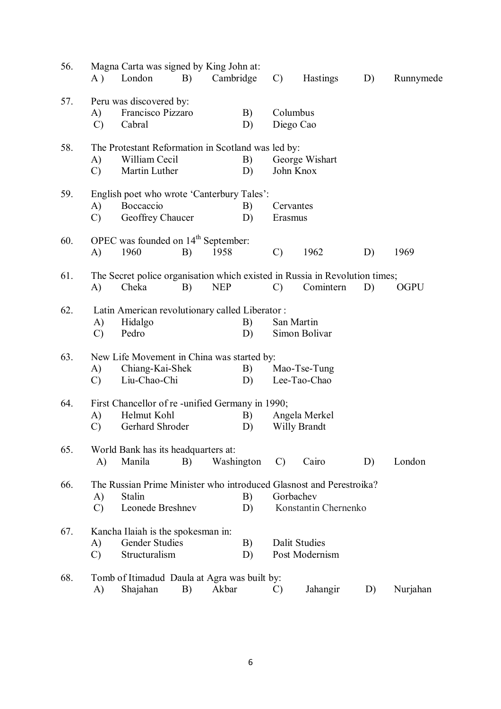| 56. | A)                  | Magna Carta was signed by King John at:<br>London                                                 | B) | Cambridge  |            | $\mathcal{C}$        | <b>Hastings</b>                        | D) | Runnymede   |
|-----|---------------------|---------------------------------------------------------------------------------------------------|----|------------|------------|----------------------|----------------------------------------|----|-------------|
| 57. | A)<br>$\mathcal{C}$ | Peru was discovered by:<br>Francisco Pizzaro<br>Cabral                                            |    |            | B)<br>D)   |                      | Columbus<br>Diego Cao                  |    |             |
| 58. | A)<br>$\mathcal{C}$ | The Protestant Reformation in Scotland was led by:<br>William Cecil<br>Martin Luther              |    |            | B)<br>D)   |                      | George Wishart<br>John Knox            |    |             |
| 59. | A)<br>$\mathcal{C}$ | English poet who wrote 'Canterbury Tales':<br>Boccaccio<br>Geoffrey Chaucer                       |    |            | B)<br>D)   | Cervantes<br>Erasmus |                                        |    |             |
| 60. | A)                  | OPEC was founded on 14 <sup>th</sup> September:<br>1960                                           | B) | 1958       |            | $\mathcal{C}$        | 1962                                   | D) | 1969        |
| 61. | A)                  | The Secret police organisation which existed in Russia in Revolution times;<br>Cheka              | B) | <b>NEP</b> |            | $\mathcal{C}$        | Comintern                              | D) | <b>OGPU</b> |
| 62. | A)<br>$\mathcal{C}$ | Latin American revolutionary called Liberator:<br>Hidalgo<br>Pedro                                |    |            | B)<br>D)   |                      | San Martin<br>Simon Bolivar            |    |             |
| 63. | A)<br>$\mathcal{C}$ | New Life Movement in China was started by:<br>Chiang-Kai-Shek<br>Liu-Chao-Chi                     |    |            | B)<br>D)   |                      | Mao-Tse-Tung<br>Lee-Tao-Chao           |    |             |
| 64. | A)<br>$\mathcal{C}$ | First Chancellor of re-unified Germany in 1990;<br>Helmut Kohl<br>Gerhard Shroder                 |    |            | B)<br>D)   |                      | Angela Merkel<br><b>Willy Brandt</b>   |    |             |
| 65. | A)                  | World Bank has its headquarters at:<br>Manila                                                     | B) |            | Washington | $\mathcal{C}$        | Cairo                                  | D) | London      |
| 66. | A)<br>$\mathcal{C}$ | The Russian Prime Minister who introduced Glasnost and Perestroika?<br>Stalin<br>Leonede Breshnev |    |            | B)<br>D)   |                      | Gorbachev<br>Konstantin Chernenko      |    |             |
| 67. | A)<br>$\mathcal{C}$ | Kancha Ilaiah is the spokesman in:<br><b>Gender Studies</b><br>Structuralism                      |    |            | B)<br>D)   |                      | <b>Dalit Studies</b><br>Post Modernism |    |             |
| 68. | A)                  | Tomb of Itimadud Daula at Agra was built by:<br>Shajahan                                          | B) | Akbar      |            | C)                   | Jahangir                               | D) | Nurjahan    |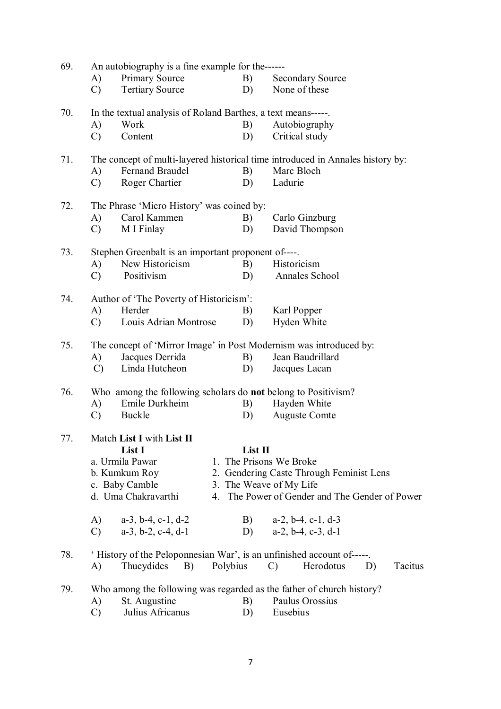| 69. | An autobiography is a fine example for the------                     |                                                              |          |         |                                                                                |  |  |  |  |  |  |
|-----|----------------------------------------------------------------------|--------------------------------------------------------------|----------|---------|--------------------------------------------------------------------------------|--|--|--|--|--|--|
|     | A)                                                                   | <b>Primary Source</b>                                        |          | B)      | <b>Secondary Source</b>                                                        |  |  |  |  |  |  |
|     | $\mathcal{C}$                                                        | <b>Tertiary Source</b>                                       |          | D)      | None of these                                                                  |  |  |  |  |  |  |
| 70. |                                                                      | In the textual analysis of Roland Barthes, a text means----- |          |         |                                                                                |  |  |  |  |  |  |
|     | A)                                                                   | Work                                                         |          | B)      | Autobiography                                                                  |  |  |  |  |  |  |
|     | $\mathcal{C}$                                                        | Content                                                      |          | D)      | Critical study                                                                 |  |  |  |  |  |  |
| 71. |                                                                      |                                                              |          |         | The concept of multi-layered historical time introduced in Annales history by: |  |  |  |  |  |  |
|     | A)                                                                   | Fernand Braudel                                              |          | B)      | Marc Bloch                                                                     |  |  |  |  |  |  |
|     | $\mathcal{C}$                                                        | Roger Chartier                                               |          | D)      | Ladurie                                                                        |  |  |  |  |  |  |
| 72. |                                                                      | The Phrase 'Micro History' was coined by:                    |          |         |                                                                                |  |  |  |  |  |  |
|     | A)                                                                   | Carol Kammen                                                 |          | B)      | Carlo Ginzburg                                                                 |  |  |  |  |  |  |
|     | $\mathcal{C}$                                                        | M I Finlay                                                   |          | D)      | David Thompson                                                                 |  |  |  |  |  |  |
| 73. | Stephen Greenbalt is an important proponent of----.                  |                                                              |          |         |                                                                                |  |  |  |  |  |  |
|     | A)                                                                   | New Historicism                                              |          | B)      | Historicism                                                                    |  |  |  |  |  |  |
|     | $\mathcal{C}$                                                        | Positivism                                                   |          | D)      | Annales School                                                                 |  |  |  |  |  |  |
| 74. |                                                                      | Author of 'The Poverty of Historicism':                      |          |         |                                                                                |  |  |  |  |  |  |
|     | A)                                                                   | Herder                                                       |          | B)      | Karl Popper                                                                    |  |  |  |  |  |  |
|     | $\mathcal{C}$                                                        | Louis Adrian Montrose                                        |          | D)      | Hyden White                                                                    |  |  |  |  |  |  |
| 75. |                                                                      |                                                              |          |         | The concept of 'Mirror Image' in Post Modernism was introduced by:             |  |  |  |  |  |  |
|     | A)                                                                   | Jacques Derrida                                              |          | B)      | Jean Baudrillard                                                               |  |  |  |  |  |  |
|     | $\mathcal{C}$                                                        | Linda Hutcheon                                               |          | D)      | Jacques Lacan                                                                  |  |  |  |  |  |  |
| 76. | Who among the following scholars do <b>not</b> belong to Positivism? |                                                              |          |         |                                                                                |  |  |  |  |  |  |
|     | A)                                                                   | Emile Durkheim                                               |          | B)      | Hayden White                                                                   |  |  |  |  |  |  |
|     | $\mathcal{C}$                                                        | Buckle                                                       |          | D)      | <b>Auguste Comte</b>                                                           |  |  |  |  |  |  |
| 77. |                                                                      | Match List I with List II                                    |          |         |                                                                                |  |  |  |  |  |  |
|     |                                                                      | List I                                                       |          | List II |                                                                                |  |  |  |  |  |  |
|     |                                                                      | a. Urmila Pawar                                              |          |         | 1. The Prisons We Broke                                                        |  |  |  |  |  |  |
|     |                                                                      | b. Kumkum Roy                                                |          |         | 2. Gendering Caste Through Feminist Lens                                       |  |  |  |  |  |  |
|     |                                                                      | c. Baby Camble                                               |          |         | 3. The Weave of My Life                                                        |  |  |  |  |  |  |
|     |                                                                      | d. Uma Chakravarthi                                          |          |         | 4. The Power of Gender and The Gender of Power                                 |  |  |  |  |  |  |
|     | (A)                                                                  | $a-3$ , $b-4$ , $c-1$ , $d-2$                                |          |         | B) $a-2, b-4, c-1, d-3$                                                        |  |  |  |  |  |  |
|     | $\mathcal{C}$                                                        | $a-3$ , $b-2$ , $c-4$ , $d-1$                                |          |         | D) $a-2, b-4, c-3, d-1$                                                        |  |  |  |  |  |  |
| 78. |                                                                      |                                                              |          |         | 'History of the Peloponnesian War', is an unfinished account of-----.          |  |  |  |  |  |  |
|     | A)                                                                   | Thucydides<br><b>B</b> )                                     | Polybius |         | Herodotus<br>D)<br>$\mathcal{C}$<br>Tacitus                                    |  |  |  |  |  |  |
| 79. |                                                                      |                                                              |          |         | Who among the following was regarded as the father of church history?          |  |  |  |  |  |  |
|     | A)                                                                   | St. Augustine                                                |          | B)      | Paulus Orossius                                                                |  |  |  |  |  |  |
|     | $\mathcal{C}$                                                        | Julius Africanus                                             |          | D)      | Eusebius                                                                       |  |  |  |  |  |  |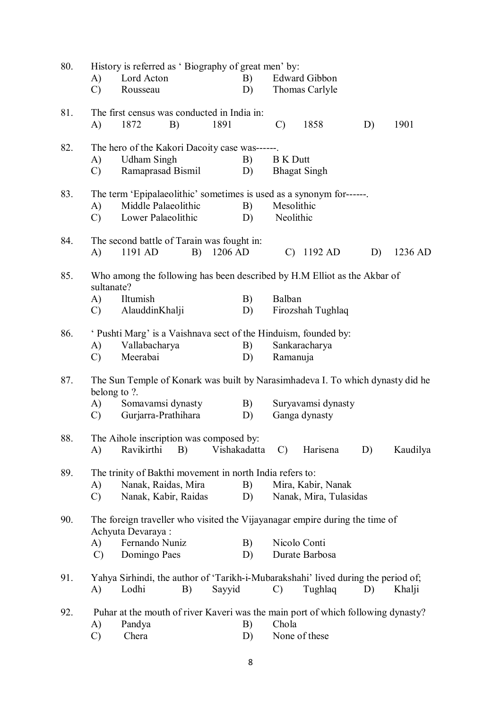| 80. | A)                                                                                             | Lord Acton                                               |    |         | History is referred as 'Biography of great men' by:<br>Edward Gibbon<br>B) |                 |                                                                                   |    |          |  |  |
|-----|------------------------------------------------------------------------------------------------|----------------------------------------------------------|----|---------|----------------------------------------------------------------------------|-----------------|-----------------------------------------------------------------------------------|----|----------|--|--|
|     | $\mathcal{C}$                                                                                  | Rousseau                                                 |    |         | D)                                                                         |                 | Thomas Carlyle                                                                    |    |          |  |  |
| 81. | A)                                                                                             | The first census was conducted in India in:<br>1872      | B) | 1891    |                                                                            | $\mathcal{C}$   | 1858                                                                              | D) | 1901     |  |  |
| 82. |                                                                                                | The hero of the Kakori Dacoity case was------.           |    |         |                                                                            |                 |                                                                                   |    |          |  |  |
|     | A)                                                                                             | <b>Udham Singh</b>                                       |    |         | B)                                                                         | <b>B</b> K Dutt |                                                                                   |    |          |  |  |
|     | $\mathcal{C}$                                                                                  | Ramaprasad Bismil                                        |    |         | D)                                                                         |                 | <b>Bhagat Singh</b>                                                               |    |          |  |  |
| 83. |                                                                                                |                                                          |    |         |                                                                            |                 | The term 'Epipalaeolithic' sometimes is used as a synonym for------.              |    |          |  |  |
|     | A)                                                                                             | Middle Palaeolithic                                      |    |         | B)<br>Mesolithic                                                           |                 |                                                                                   |    |          |  |  |
|     | $\mathcal{C}$                                                                                  | Lower Palaeolithic                                       |    |         | D)                                                                         | Neolithic       |                                                                                   |    |          |  |  |
| 84. |                                                                                                | The second battle of Tarain was fought in:               |    |         |                                                                            |                 |                                                                                   |    |          |  |  |
|     | A)                                                                                             | 1191 AD                                                  | B) | 1206 AD |                                                                            |                 | $C)$ 1192 AD                                                                      | D) | 1236 AD  |  |  |
| 85. | sultanate?                                                                                     |                                                          |    |         |                                                                            |                 | Who among the following has been described by H.M Elliot as the Akbar of          |    |          |  |  |
|     | A)                                                                                             | Iltumish                                                 |    |         | B)                                                                         | Balban          |                                                                                   |    |          |  |  |
|     | $\mathbf{C}$                                                                                   | AlauddinKhalji                                           |    |         | D)                                                                         |                 | Firozshah Tughlaq                                                                 |    |          |  |  |
| 86. |                                                                                                |                                                          |    |         |                                                                            |                 | <i>'</i> Pushti Marg' is a Vaishnava sect of the Hinduism, founded by:            |    |          |  |  |
|     | A)                                                                                             | Vallabacharya                                            |    |         | B)                                                                         |                 | Sankaracharya                                                                     |    |          |  |  |
|     | $\mathcal{C}$                                                                                  | Meerabai                                                 |    |         | D)                                                                         | Ramanuja        |                                                                                   |    |          |  |  |
| 87. | The Sun Temple of Konark was built by Narasimhadeva I. To which dynasty did he<br>belong to ?. |                                                          |    |         |                                                                            |                 |                                                                                   |    |          |  |  |
|     | (A)                                                                                            | Somavamsi dynasty                                        |    |         | B)                                                                         |                 | Suryavamsi dynasty                                                                |    |          |  |  |
|     | $\mathcal{C}$                                                                                  | Gurjarra-Prathihara                                      |    |         | D)                                                                         |                 | Ganga dynasty                                                                     |    |          |  |  |
| 88. |                                                                                                | The Aihole inscription was composed by:                  |    |         |                                                                            |                 |                                                                                   |    |          |  |  |
|     | A)                                                                                             | Ravikirthi                                               | B) |         | Vishakadatta                                                               | $\mathcal{C}$   | Harisena                                                                          | D) | Kaudilya |  |  |
| 89. |                                                                                                | The trinity of Bakthi movement in north India refers to: |    |         |                                                                            |                 |                                                                                   |    |          |  |  |
|     | A)                                                                                             | Nanak, Raidas, Mira                                      |    |         | B)                                                                         |                 | Mira, Kabir, Nanak                                                                |    |          |  |  |
|     | $\mathcal{C}$                                                                                  | Nanak, Kabir, Raidas                                     |    |         | D)                                                                         |                 | Nanak, Mira, Tulasidas                                                            |    |          |  |  |
| 90. |                                                                                                | Achyuta Devaraya:                                        |    |         |                                                                            |                 | The foreign traveller who visited the Vijayanagar empire during the time of       |    |          |  |  |
|     | A)                                                                                             | Fernando Nuniz                                           |    |         | B)                                                                         |                 | Nicolo Conti                                                                      |    |          |  |  |
|     | $\mathcal{C}$                                                                                  | Domingo Paes                                             |    |         | D)                                                                         |                 | Durate Barbosa                                                                    |    |          |  |  |
| 91. |                                                                                                |                                                          |    |         |                                                                            |                 | Yahya Sirhindi, the author of 'Tarikh-i-Mubarakshahi' lived during the period of; |    |          |  |  |
|     | A)                                                                                             | Lodhi                                                    | B) | Sayyid  |                                                                            | $\mathcal{C}$   | Tughlaq                                                                           | D) | Khalji   |  |  |
| 92. |                                                                                                |                                                          |    |         |                                                                            |                 | Puhar at the mouth of river Kaveri was the main port of which following dynasty?  |    |          |  |  |
|     | A)                                                                                             | Pandya                                                   |    |         | B)                                                                         | Chola           |                                                                                   |    |          |  |  |
|     | $\mathcal{C}$                                                                                  | Chera                                                    |    |         | D)                                                                         |                 | None of these                                                                     |    |          |  |  |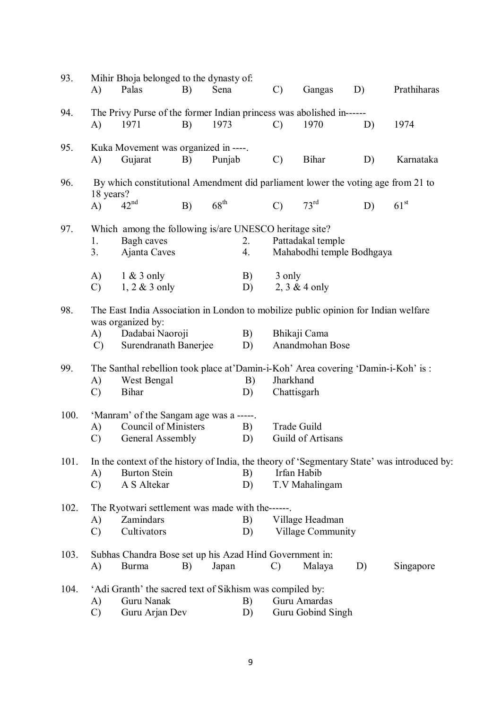| 93.  | A)                                      | Mihir Bhoja belonged to the dynasty of:<br>Palas                                   | B) | Sena             |          | $\mathcal{C}$                                           | Gangas                               | D) | Prathiharas                                                                                 |  |  |  |
|------|-----------------------------------------|------------------------------------------------------------------------------------|----|------------------|----------|---------------------------------------------------------|--------------------------------------|----|---------------------------------------------------------------------------------------------|--|--|--|
|      |                                         |                                                                                    |    |                  |          |                                                         |                                      |    |                                                                                             |  |  |  |
| 94.  |                                         | The Privy Purse of the former Indian princess was abolished in------               |    |                  |          |                                                         |                                      |    |                                                                                             |  |  |  |
|      | A)                                      | 1971                                                                               | B) | 1973             |          | $\mathcal{C}$                                           | 1970                                 | D) | 1974                                                                                        |  |  |  |
| 95.  |                                         | Kuka Movement was organized in ----.                                               |    |                  |          |                                                         |                                      |    |                                                                                             |  |  |  |
|      | A)                                      | Gujarat                                                                            | B) | Punjab           |          | $\mathcal{C}$                                           | <b>Bihar</b>                         | D) | Karnataka                                                                                   |  |  |  |
|      |                                         |                                                                                    |    |                  |          |                                                         |                                      |    |                                                                                             |  |  |  |
| 96.  |                                         | By which constitutional Amendment did parliament lower the voting age from 21 to   |    |                  |          |                                                         |                                      |    |                                                                                             |  |  |  |
|      | 18 years?<br>A)                         | 42 <sup>nd</sup>                                                                   | B) | $68^{\text{th}}$ |          | $\mathcal{C}$                                           | 73 <sup>rd</sup>                     | D) | 61 <sup>st</sup>                                                                            |  |  |  |
|      |                                         |                                                                                    |    |                  |          |                                                         |                                      |    |                                                                                             |  |  |  |
| 97.  |                                         | Which among the following is/are UNESCO heritage site?                             |    |                  |          |                                                         |                                      |    |                                                                                             |  |  |  |
|      | 1.                                      | Bagh caves                                                                         |    |                  | 2.       |                                                         | Pattadakal temple                    |    |                                                                                             |  |  |  |
|      | 3.                                      | Ajanta Caves                                                                       |    |                  | 4.       |                                                         | Mahabodhi temple Bodhgaya            |    |                                                                                             |  |  |  |
|      | A)                                      | $1 & 3$ only                                                                       |    |                  |          | 3 only                                                  |                                      |    |                                                                                             |  |  |  |
|      | $\mathcal{C}$                           | $1, 2 \& 3$ only                                                                   |    |                  | B)<br>D) | 2, $3 & 4$ only                                         |                                      |    |                                                                                             |  |  |  |
|      |                                         |                                                                                    |    |                  |          |                                                         |                                      |    |                                                                                             |  |  |  |
| 98.  |                                         | The East India Association in London to mobilize public opinion for Indian welfare |    |                  |          |                                                         |                                      |    |                                                                                             |  |  |  |
|      | A)                                      | was organized by:<br>Dadabai Naoroji                                               |    |                  | B)       |                                                         | Bhikaji Cama                         |    |                                                                                             |  |  |  |
|      | $\mathcal{C}$                           | Surendranath Banerjee                                                              |    |                  | D)       |                                                         | Anandmohan Bose                      |    |                                                                                             |  |  |  |
|      |                                         |                                                                                    |    |                  |          |                                                         |                                      |    |                                                                                             |  |  |  |
| 99.  |                                         | The Santhal rebellion took place at 'Damin-i-Koh' Area covering 'Damin-i-Koh' is:  |    |                  |          |                                                         |                                      |    |                                                                                             |  |  |  |
|      | A)                                      | West Bengal<br><b>Bihar</b>                                                        |    |                  | B)       | Jharkhand<br>Chattisgarh                                |                                      |    |                                                                                             |  |  |  |
|      | $\mathcal{C}$                           |                                                                                    |    |                  | D)       |                                                         |                                      |    |                                                                                             |  |  |  |
| 100. | 'Manram' of the Sangam age was a -----. |                                                                                    |    |                  |          |                                                         |                                      |    |                                                                                             |  |  |  |
|      | A)                                      | <b>Council of Ministers</b>                                                        |    |                  | B)       | <b>Trade Guild</b>                                      |                                      |    |                                                                                             |  |  |  |
|      | $\mathcal{C}$                           | General Assembly                                                                   |    |                  | D)       | Guild of Artisans                                       |                                      |    |                                                                                             |  |  |  |
| 101. |                                         |                                                                                    |    |                  |          |                                                         |                                      |    | In the context of the history of India, the theory of 'Segmentary State' was introduced by: |  |  |  |
|      | A)                                      | <b>Burton Stein</b>                                                                |    |                  | B)       |                                                         | Irfan Habib                          |    |                                                                                             |  |  |  |
|      | $\mathcal{C}$                           | A S Altekar                                                                        |    |                  | D)       |                                                         | T.V Mahalingam                       |    |                                                                                             |  |  |  |
|      |                                         |                                                                                    |    |                  |          |                                                         |                                      |    |                                                                                             |  |  |  |
| 102. |                                         | The Ryotwari settlement was made with the------.                                   |    |                  |          |                                                         |                                      |    |                                                                                             |  |  |  |
|      | A)<br>$\mathcal{C}$                     | Zamindars<br>Cultivators                                                           |    |                  | B)<br>D) |                                                         | Village Headman<br>Village Community |    |                                                                                             |  |  |  |
|      |                                         |                                                                                    |    |                  |          |                                                         |                                      |    |                                                                                             |  |  |  |
| 103. |                                         |                                                                                    |    |                  |          | Subhas Chandra Bose set up his Azad Hind Government in: |                                      |    |                                                                                             |  |  |  |
|      | A)                                      | <b>Burma</b>                                                                       | B) | Japan            |          | $\mathcal{C}$                                           | Malaya                               | D) | Singapore                                                                                   |  |  |  |
| 104. |                                         |                                                                                    |    |                  |          |                                                         |                                      |    |                                                                                             |  |  |  |
|      | A)                                      | 'Adi Granth' the sacred text of Sikhism was compiled by:<br>Guru Nanak             |    | B)               |          | Guru Amardas                                            |                                      |    |                                                                                             |  |  |  |
|      | $\mathcal{C}$                           | Guru Arjan Dev                                                                     |    |                  | D)       |                                                         | Guru Gobind Singh                    |    |                                                                                             |  |  |  |
|      |                                         |                                                                                    |    |                  |          |                                                         |                                      |    |                                                                                             |  |  |  |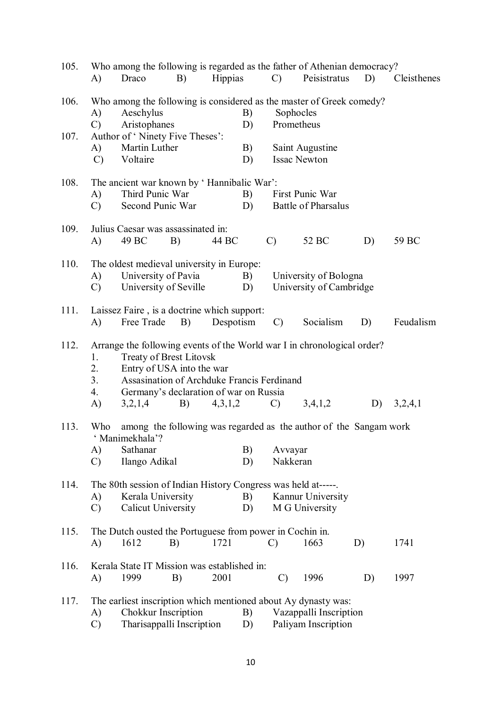| 105. |                      |                                                                                                                                                     |    |                |    |               | Who among the following is regarded as the father of Athenian democracy? |    |             |  |  |  |
|------|----------------------|-----------------------------------------------------------------------------------------------------------------------------------------------------|----|----------------|----|---------------|--------------------------------------------------------------------------|----|-------------|--|--|--|
|      | A)                   | Draco                                                                                                                                               | B) | <b>Hippias</b> |    | $\mathcal{C}$ | Peisistratus                                                             | D) | Cleisthenes |  |  |  |
| 106. |                      |                                                                                                                                                     |    |                |    |               | Who among the following is considered as the master of Greek comedy?     |    |             |  |  |  |
|      | A)                   | Aeschylus                                                                                                                                           |    |                | B) |               | Sophocles                                                                |    |             |  |  |  |
|      | $\mathcal{C}$        | Aristophanes                                                                                                                                        |    |                | D) |               | Prometheus                                                               |    |             |  |  |  |
| 107. |                      | Author of 'Ninety Five Theses':                                                                                                                     |    |                |    |               |                                                                          |    |             |  |  |  |
|      | A)                   | Martin Luther                                                                                                                                       |    |                | B) |               | Saint Augustine                                                          |    |             |  |  |  |
|      | $\mathcal{C}$        | Voltaire                                                                                                                                            |    |                | D) |               | <b>Issac Newton</b>                                                      |    |             |  |  |  |
| 108. |                      | The ancient war known by 'Hannibalic War':                                                                                                          |    |                |    |               |                                                                          |    |             |  |  |  |
|      | A)                   | Third Punic War                                                                                                                                     |    |                | B) |               | First Punic War                                                          |    |             |  |  |  |
|      | $\mathcal{C}$        | Second Punic War                                                                                                                                    |    |                | D) |               | <b>Battle of Pharsalus</b>                                               |    |             |  |  |  |
| 109. |                      | Julius Caesar was assassinated in:                                                                                                                  |    |                |    |               |                                                                          |    |             |  |  |  |
|      | A)                   | 49 BC                                                                                                                                               | B) | 44 BC          |    | $\mathcal{C}$ | 52 BC                                                                    | D) | 59 BC       |  |  |  |
| 110. |                      | The oldest medieval university in Europe:                                                                                                           |    |                |    |               |                                                                          |    |             |  |  |  |
|      | A)                   | University of Pavia                                                                                                                                 |    |                | B) |               | University of Bologna                                                    |    |             |  |  |  |
|      | $\mathcal{C}$        | University of Seville                                                                                                                               |    |                | D) |               | University of Cambridge                                                  |    |             |  |  |  |
| 111. |                      | Laissez Faire, is a doctrine which support:                                                                                                         |    |                |    |               |                                                                          |    |             |  |  |  |
|      | A)                   | Free Trade                                                                                                                                          | B) | Despotism      |    | $\mathcal{C}$ | Socialism                                                                | D) | Feudalism   |  |  |  |
| 112. | 1.<br>2.<br>3.<br>4. | <b>Treaty of Brest Litovsk</b><br>Entry of USA into the war<br>Assasination of Archduke Francis Ferdinand<br>Germany's declaration of war on Russia |    |                |    |               | Arrange the following events of the World war I in chronological order?  |    |             |  |  |  |
|      | A)                   | 3,2,1,4                                                                                                                                             | B) | 4,3,1,2        |    | $\mathcal{C}$ | 3,4,1,2                                                                  | D) | 3,2,4,1     |  |  |  |
| 113. | Who                  | among the following was regarded as the author of the Sangam work<br>' Manimekhala'?                                                                |    |                |    |               |                                                                          |    |             |  |  |  |
|      | A)                   | Sathanar                                                                                                                                            |    |                | B) | Avvayar       |                                                                          |    |             |  |  |  |
|      | $\mathcal{C}$        | Ilango Adikal                                                                                                                                       |    |                | D) | Nakkeran      |                                                                          |    |             |  |  |  |
| 114. |                      | The 80th session of Indian History Congress was held at-----.                                                                                       |    |                |    |               |                                                                          |    |             |  |  |  |
|      | A)                   | Kerala University                                                                                                                                   |    |                | B) |               | Kannur University                                                        |    |             |  |  |  |
|      | $\mathcal{C}$        | <b>Calicut University</b>                                                                                                                           |    |                | D) |               | M G University                                                           |    |             |  |  |  |
| 115. |                      | The Dutch ousted the Portuguese from power in Cochin in.                                                                                            |    |                |    |               |                                                                          |    |             |  |  |  |
|      | A)                   | 1612                                                                                                                                                | B) | 1721           |    | $\mathcal{C}$ | 1663                                                                     | D) | 1741        |  |  |  |
| 116. |                      | Kerala State IT Mission was established in:                                                                                                         |    |                |    |               |                                                                          |    |             |  |  |  |
|      | A)                   | 1999                                                                                                                                                | B) | 2001           |    | $\mathcal{C}$ | 1996                                                                     | D) | 1997        |  |  |  |
| 117. |                      |                                                                                                                                                     |    |                |    |               | The earliest inscription which mentioned about Ay dynasty was:           |    |             |  |  |  |
|      | A)                   | Chokkur Inscription                                                                                                                                 |    |                | B) |               | Vazappalli Inscription                                                   |    |             |  |  |  |
|      | $\mathcal{C}$        | Tharisappalli Inscription                                                                                                                           |    |                | D) |               | Paliyam Inscription                                                      |    |             |  |  |  |